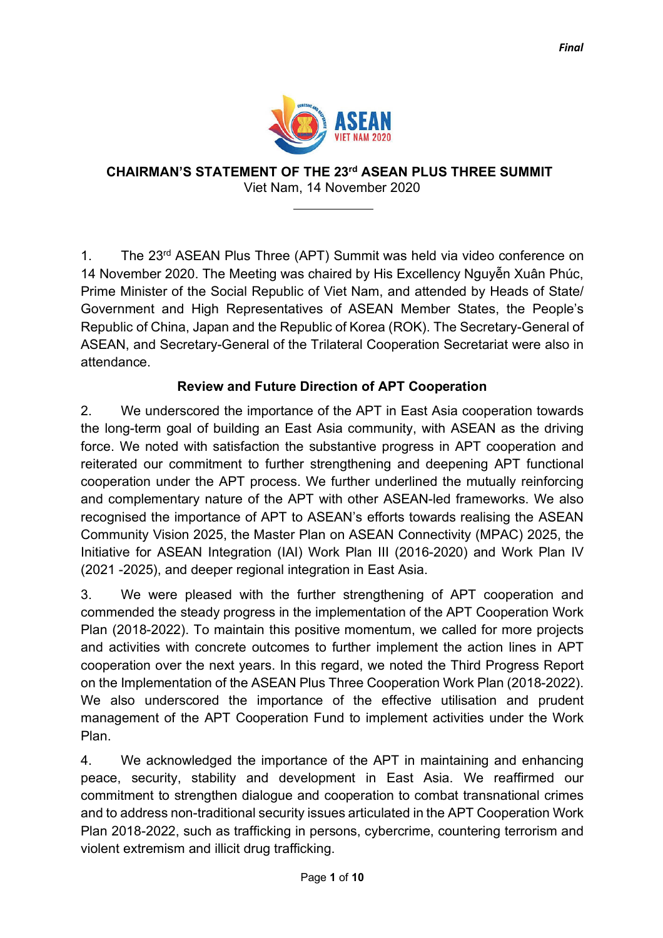

**CHAIRMAN'S STATEMENT OF THE 23rd ASEAN PLUS THREE SUMMIT** Viet Nam, 14 November 2020

1. The 23<sup>rd</sup> ASEAN Plus Three (APT) Summit was held via video conference on 14 November 2020. The Meeting was chaired by His Excellency Nguyễn Xuân Phúc, Prime Minister of the Social Republic of Viet Nam, and attended by Heads of State/ Government and High Representatives of ASEAN Member States, the People's Republic of China, Japan and the Republic of Korea (ROK). The Secretary-General of ASEAN, and Secretary-General of the Trilateral Cooperation Secretariat were also in attendance.

## **Review and Future Direction of APT Cooperation**

2. We underscored the importance of the APT in East Asia cooperation towards the long-term goal of building an East Asia community, with ASEAN as the driving force. We noted with satisfaction the substantive progress in APT cooperation and reiterated our commitment to further strengthening and deepening APT functional cooperation under the APT process. We further underlined the mutually reinforcing and complementary nature of the APT with other ASEAN-led frameworks. We also recognised the importance of APT to ASEAN's efforts towards realising the ASEAN Community Vision 2025, the Master Plan on ASEAN Connectivity (MPAC) 2025, the Initiative for ASEAN Integration (IAI) Work Plan III (2016-2020) and Work Plan IV (2021 -2025), and deeper regional integration in East Asia.

3. We were pleased with the further strengthening of APT cooperation and commended the steady progress in the implementation of the APT Cooperation Work Plan (2018-2022). To maintain this positive momentum, we called for more projects and activities with concrete outcomes to further implement the action lines in APT cooperation over the next years. In this regard, we noted the Third Progress Report on the Implementation of the ASEAN Plus Three Cooperation Work Plan (2018-2022). We also underscored the importance of the effective utilisation and prudent management of the APT Cooperation Fund to implement activities under the Work Plan.

4. We acknowledged the importance of the APT in maintaining and enhancing peace, security, stability and development in East Asia. We reaffirmed our commitment to strengthen dialogue and cooperation to combat transnational crimes and to address non-traditional security issues articulated in the APT Cooperation Work Plan 2018-2022, such as trafficking in persons, cybercrime, countering terrorism and violent extremism and illicit drug trafficking.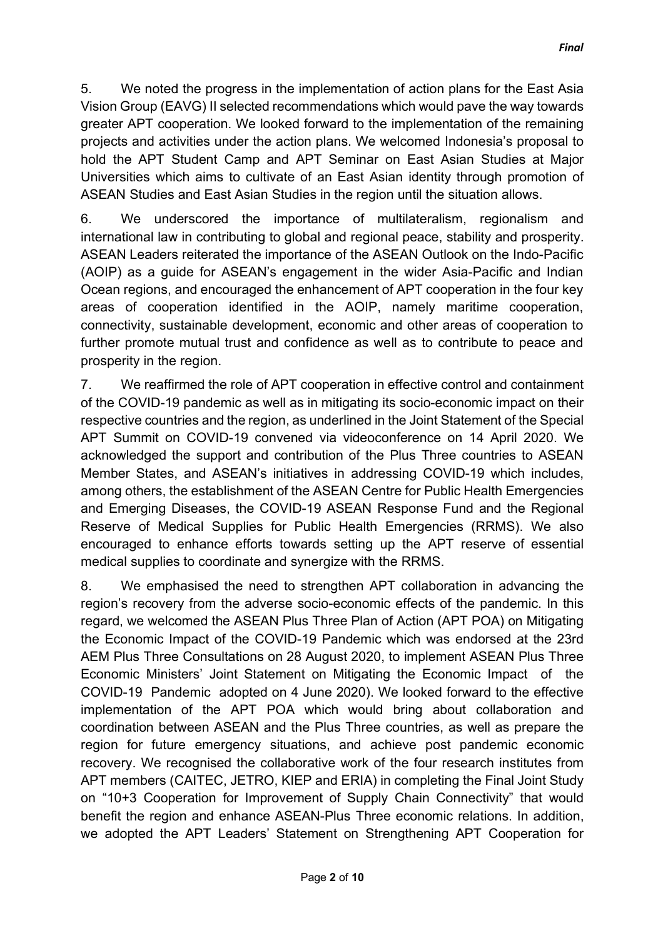5. We noted the progress in the implementation of action plans for the East Asia Vision Group (EAVG) II selected recommendations which would pave the way towards greater APT cooperation. We looked forward to the implementation of the remaining projects and activities under the action plans. We welcomed Indonesia's proposal to hold the APT Student Camp and APT Seminar on East Asian Studies at Major Universities which aims to cultivate of an East Asian identity through promotion of ASEAN Studies and East Asian Studies in the region until the situation allows.

6. We underscored the importance of multilateralism, regionalism and international law in contributing to global and regional peace, stability and prosperity. ASEAN Leaders reiterated the importance of the ASEAN Outlook on the Indo-Pacific (AOIP) as a guide for ASEAN's engagement in the wider Asia-Pacific and Indian Ocean regions, and encouraged the enhancement of APT cooperation in the four key areas of cooperation identified in the AOIP, namely maritime cooperation, connectivity, sustainable development, economic and other areas of cooperation to further promote mutual trust and confidence as well as to contribute to peace and prosperity in the region.

7. We reaffirmed the role of APT cooperation in effective control and containment of the COVID-19 pandemic as well as in mitigating its socio-economic impact on their respective countries and the region, as underlined in the Joint Statement of the Special APT Summit on COVID-19 convened via videoconference on 14 April 2020. We acknowledged the support and contribution of the Plus Three countries to ASEAN Member States, and ASEAN's initiatives in addressing COVID-19 which includes, among others, the establishment of the ASEAN Centre for Public Health Emergencies and Emerging Diseases, the COVID-19 ASEAN Response Fund and the Regional Reserve of Medical Supplies for Public Health Emergencies (RRMS). We also encouraged to enhance efforts towards setting up the APT reserve of essential medical supplies to coordinate and synergize with the RRMS.

8. We emphasised the need to strengthen APT collaboration in advancing the region's recovery from the adverse socio-economic effects of the pandemic. In this regard, we welcomed the ASEAN Plus Three Plan of Action (APT POA) on Mitigating the Economic Impact of the COVID-19 Pandemic which was endorsed at the 23rd AEM Plus Three Consultations on 28 August 2020, to implement ASEAN Plus Three Economic Ministers' Joint Statement on Mitigating the Economic Impact of the COVID-19 Pandemic adopted on 4 June 2020). We looked forward to the effective implementation of the APT POA which would bring about collaboration and coordination between ASEAN and the Plus Three countries, as well as prepare the region for future emergency situations, and achieve post pandemic economic recovery. We recognised the collaborative work of the four research institutes from APT members (CAITEC, JETRO, KIEP and ERIA) in completing the Final Joint Study on "10+3 Cooperation for Improvement of Supply Chain Connectivity" that would benefit the region and enhance ASEAN-Plus Three economic relations. In addition, we adopted the APT Leaders' Statement on Strengthening APT Cooperation for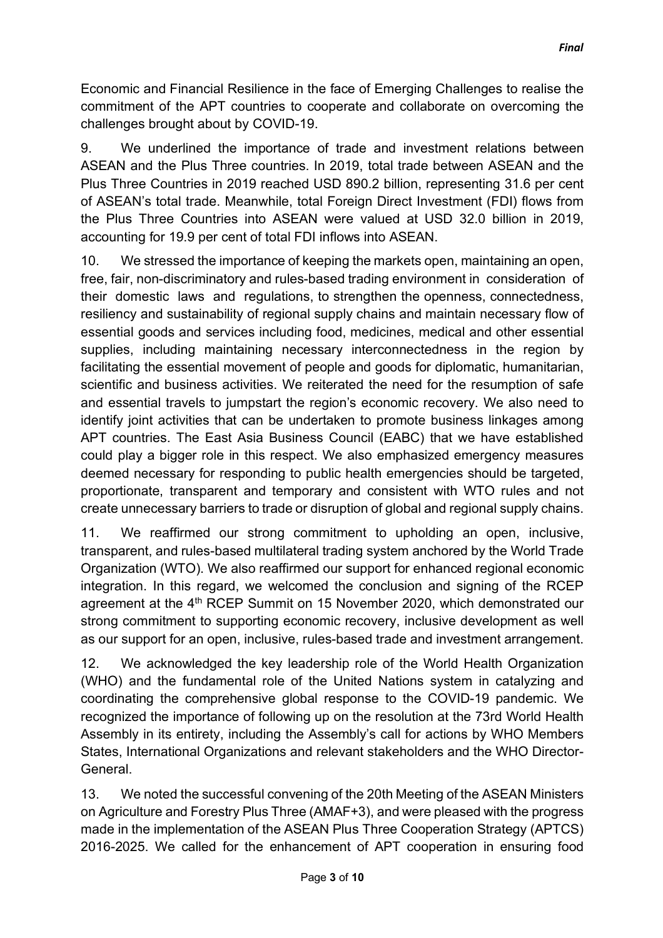Economic and Financial Resilience in the face of Emerging Challenges to realise the commitment of the APT countries to cooperate and collaborate on overcoming the challenges brought about by COVID-19.

9. We underlined the importance of trade and investment relations between ASEAN and the Plus Three countries. In 2019, total trade between ASEAN and the Plus Three Countries in 2019 reached USD 890.2 billion, representing 31.6 per cent of ASEAN's total trade. Meanwhile, total Foreign Direct Investment (FDI) flows from the Plus Three Countries into ASEAN were valued at USD 32.0 billion in 2019, accounting for 19.9 per cent of total FDI inflows into ASEAN.

10. We stressed the importance of keeping the markets open, maintaining an open, free, fair, non-discriminatory and rules-based trading environment in consideration of their domestic laws and regulations, to strengthen the openness, connectedness, resiliency and sustainability of regional supply chains and maintain necessary flow of essential goods and services including food, medicines, medical and other essential supplies, including maintaining necessary interconnectedness in the region by facilitating the essential movement of people and goods for diplomatic, humanitarian, scientific and business activities. We reiterated the need for the resumption of safe and essential travels to jumpstart the region's economic recovery. We also need to identify joint activities that can be undertaken to promote business linkages among APT countries. The East Asia Business Council (EABC) that we have established could play a bigger role in this respect. We also emphasized emergency measures deemed necessary for responding to public health emergencies should be targeted, proportionate, transparent and temporary and consistent with WTO rules and not create unnecessary barriers to trade or disruption of global and regional supply chains.

11. We reaffirmed our strong commitment to upholding an open, inclusive, transparent, and rules-based multilateral trading system anchored by the World Trade Organization (WTO). We also reaffirmed our support for enhanced regional economic integration. In this regard, we welcomed the conclusion and signing of the RCEP agreement at the 4<sup>th</sup> RCEP Summit on 15 November 2020, which demonstrated our strong commitment to supporting economic recovery, inclusive development as well as our support for an open, inclusive, rules-based trade and investment arrangement.

12. We acknowledged the key leadership role of the World Health Organization (WHO) and the fundamental role of the United Nations system in catalyzing and coordinating the comprehensive global response to the COVID-19 pandemic. We recognized the importance of following up on the resolution at the 73rd World Health Assembly in its entirety, including the Assembly's call for actions by WHO Members States, International Organizations and relevant stakeholders and the WHO Director-General.

13. We noted the successful convening of the 20th Meeting of the ASEAN Ministers on Agriculture and Forestry Plus Three (AMAF+3), and were pleased with the progress made in the implementation of the ASEAN Plus Three Cooperation Strategy (APTCS) 2016-2025. We called for the enhancement of APT cooperation in ensuring food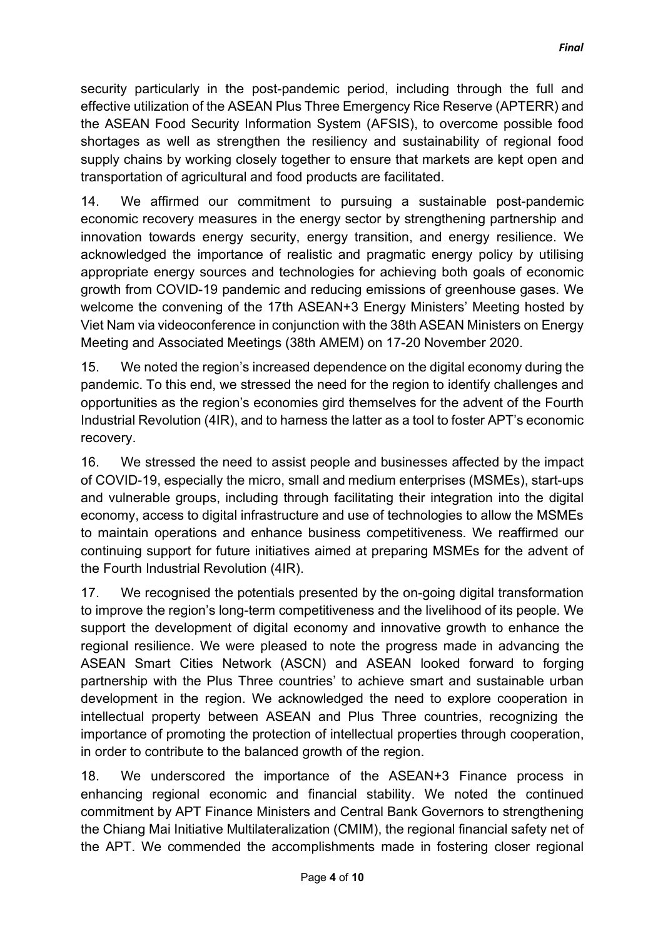security particularly in the post-pandemic period, including through the full and effective utilization of the ASEAN Plus Three Emergency Rice Reserve (APTERR) and the ASEAN Food Security Information System (AFSIS), to overcome possible food shortages as well as strengthen the resiliency and sustainability of regional food supply chains by working closely together to ensure that markets are kept open and transportation of agricultural and food products are facilitated.

14. We affirmed our commitment to pursuing a sustainable post-pandemic economic recovery measures in the energy sector by strengthening partnership and innovation towards energy security, energy transition, and energy resilience. We acknowledged the importance of realistic and pragmatic energy policy by utilising appropriate energy sources and technologies for achieving both goals of economic growth from COVID-19 pandemic and reducing emissions of greenhouse gases. We welcome the convening of the 17th ASEAN+3 Energy Ministers' Meeting hosted by Viet Nam via videoconference in conjunction with the 38th ASEAN Ministers on Energy Meeting and Associated Meetings (38th AMEM) on 17-20 November 2020.

15. We noted the region's increased dependence on the digital economy during the pandemic. To this end, we stressed the need for the region to identify challenges and opportunities as the region's economies gird themselves for the advent of the Fourth Industrial Revolution (4IR), and to harness the latter as a tool to foster APT's economic recovery.

16. We stressed the need to assist people and businesses affected by the impact of COVID-19, especially the micro, small and medium enterprises (MSMEs), start-ups and vulnerable groups, including through facilitating their integration into the digital economy, access to digital infrastructure and use of technologies to allow the MSMEs to maintain operations and enhance business competitiveness. We reaffirmed our continuing support for future initiatives aimed at preparing MSMEs for the advent of the Fourth Industrial Revolution (4IR).

17. We recognised the potentials presented by the on-going digital transformation to improve the region's long-term competitiveness and the livelihood of its people. We support the development of digital economy and innovative growth to enhance the regional resilience. We were pleased to note the progress made in advancing the ASEAN Smart Cities Network (ASCN) and ASEAN looked forward to forging partnership with the Plus Three countries' to achieve smart and sustainable urban development in the region. We acknowledged the need to explore cooperation in intellectual property between ASEAN and Plus Three countries, recognizing the importance of promoting the protection of intellectual properties through cooperation, in order to contribute to the balanced growth of the region.

18. We underscored the importance of the ASEAN+3 Finance process in enhancing regional economic and financial stability. We noted the continued commitment by APT Finance Ministers and Central Bank Governors to strengthening the Chiang Mai Initiative Multilateralization (CMIM), the regional financial safety net of the APT. We commended the accomplishments made in fostering closer regional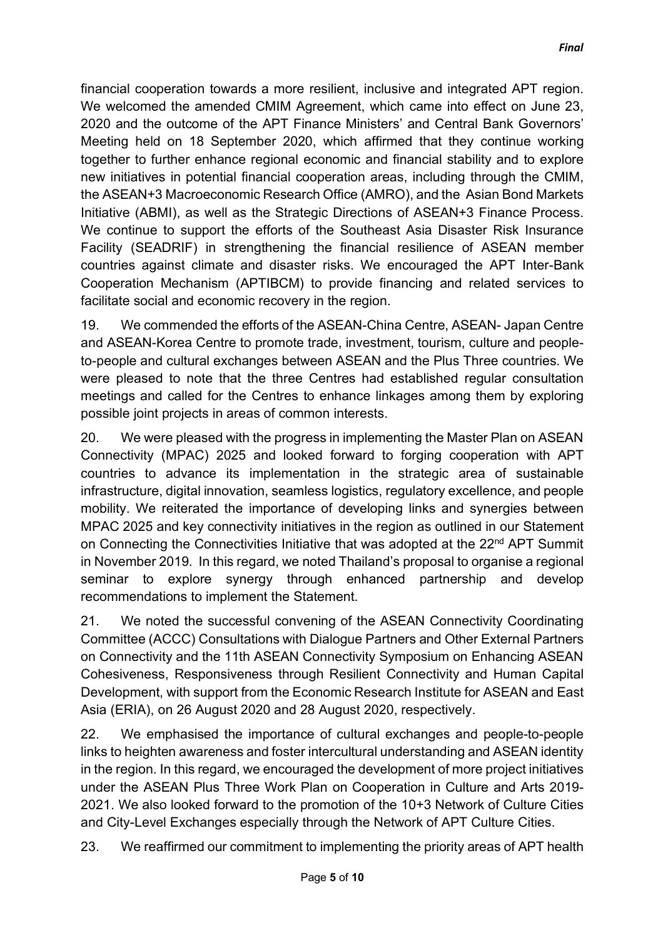financial cooperation towards a more resilient, inclusive and integrated APT region. We welcomed the amended CMIM Agreement, which came into effect on June 23, 2020 and the outcome of the APT Finance Ministers' and Central Bank Governors' Meeting held on 18 September 2020, which affirmed that they continue working together to further enhance regional economic and financial stability and to explore new initiatives in potential financial cooperation areas, including through the CMIM, the ASEAN+3 Macroeconomic Research Office (AMRO), and the Asian Bond Markets Initiative (ABMI), as well as the Strategic Directions of ASEAN+3 Finance Process. We continue to support the efforts of the Southeast Asia Disaster Risk Insurance Facility (SEADRIF) in strengthening the financial resilience of ASEAN member countries against climate and disaster risks. We encouraged the APT Inter-Bank Cooperation Mechanism (APTIBCM) to provide financing and related services to facilitate social and economic recovery in the region.

19. We commended the efforts of the ASEAN-China Centre, ASEAN- Japan Centre and ASEAN-Korea Centre to promote trade, investment, tourism, culture and peopleto-people and cultural exchanges between ASEAN and the Plus Three countries. We were pleased to note that the three Centres had established regular consultation meetings and called for the Centres to enhance linkages among them by exploring possible joint projects in areas of common interests.

20. We were pleased with the progress in implementing the Master Plan on ASEAN Connectivity (MPAC) 2025 and looked forward to forging cooperation with APT countries to advance its implementation in the strategic area of sustainable infrastructure, digital innovation, seamless logistics, regulatory excellence, and people mobility. We reiterated the importance of developing links and synergies between MPAC 2025 and key connectivity initiatives in the region as outlined in our Statement on Connecting the Connectivities Initiative that was adopted at the 22<sup>nd</sup> APT Summit in November 2019. In this regard, we noted Thailand's proposal to organise a regional seminar to explore synergy through enhanced partnership and develop recommendations to implement the Statement.

21. We noted the successful convening of the ASEAN Connectivity Coordinating Committee (ACCC) Consultations with Dialogue Partners and Other External Partners on Connectivity and the 11th ASEAN Connectivity Symposium on Enhancing ASEAN Cohesiveness, Responsiveness through Resilient Connectivity and Human Capital Development, with support from the Economic Research Institute for ASEAN and East Asia (ERIA), on 26 August 2020 and 28 August 2020, respectively.

22. We emphasised the importance of cultural exchanges and people-to-people links to heighten awareness and foster intercultural understanding and ASEAN identity in the region. In this regard, we encouraged the development of more project initiatives under the ASEAN Plus Three Work Plan on Cooperation in Culture and Arts 2019- 2021. We also looked forward to the promotion of the 10+3 Network of Culture Cities and City-Level Exchanges especially through the Network of APT Culture Cities.

23. We reaffirmed our commitment to implementing the priority areas of APT health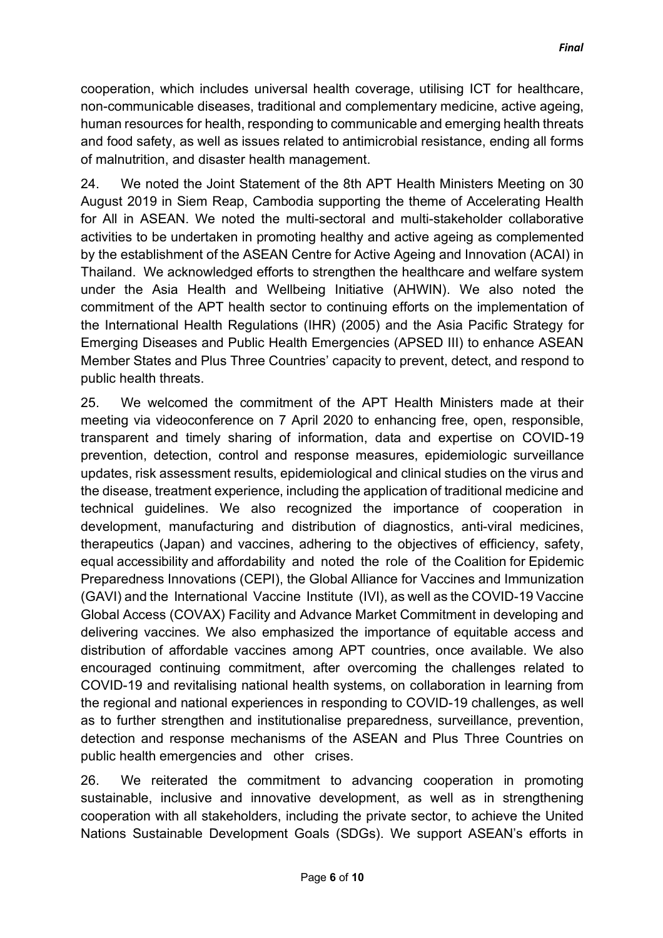cooperation, which includes universal health coverage, utilising ICT for healthcare, non-communicable diseases, traditional and complementary medicine, active ageing, human resources for health, responding to communicable and emerging health threats and food safety, as well as issues related to antimicrobial resistance, ending all forms of malnutrition, and disaster health management.

24. We noted the Joint Statement of the 8th APT Health Ministers Meeting on 30 August 2019 in Siem Reap, Cambodia supporting the theme of Accelerating Health for All in ASEAN. We noted the multi-sectoral and multi-stakeholder collaborative activities to be undertaken in promoting healthy and active ageing as complemented by the establishment of the ASEAN Centre for Active Ageing and Innovation (ACAI) in Thailand. We acknowledged efforts to strengthen the healthcare and welfare system under the Asia Health and Wellbeing Initiative (AHWIN). We also noted the commitment of the APT health sector to continuing efforts on the implementation of the International Health Regulations (IHR) (2005) and the Asia Pacific Strategy for Emerging Diseases and Public Health Emergencies (APSED III) to enhance ASEAN Member States and Plus Three Countries' capacity to prevent, detect, and respond to public health threats.

25. We welcomed the commitment of the APT Health Ministers made at their meeting via videoconference on 7 April 2020 to enhancing free, open, responsible, transparent and timely sharing of information, data and expertise on COVID-19 prevention, detection, control and response measures, epidemiologic surveillance updates, risk assessment results, epidemiological and clinical studies on the virus and the disease, treatment experience, including the application of traditional medicine and technical guidelines. We also recognized the importance of cooperation in development, manufacturing and distribution of diagnostics, anti-viral medicines, therapeutics (Japan) and vaccines, adhering to the objectives of efficiency, safety, equal accessibility and affordability and noted the role of the Coalition for Epidemic Preparedness Innovations (CEPI), the Global Alliance for Vaccines and Immunization (GAVI) and the International Vaccine Institute (IVI), as well as the COVID-19 Vaccine Global Access (COVAX) Facility and Advance Market Commitment in developing and delivering vaccines. We also emphasized the importance of equitable access and distribution of affordable vaccines among APT countries, once available. We also encouraged continuing commitment, after overcoming the challenges related to COVID-19 and revitalising national health systems, on collaboration in learning from the regional and national experiences in responding to COVID-19 challenges, as well as to further strengthen and institutionalise preparedness, surveillance, prevention, detection and response mechanisms of the ASEAN and Plus Three Countries on public health emergencies and other crises.

26. We reiterated the commitment to advancing cooperation in promoting sustainable, inclusive and innovative development, as well as in strengthening cooperation with all stakeholders, including the private sector, to achieve the United Nations Sustainable Development Goals (SDGs). We support ASEAN's efforts in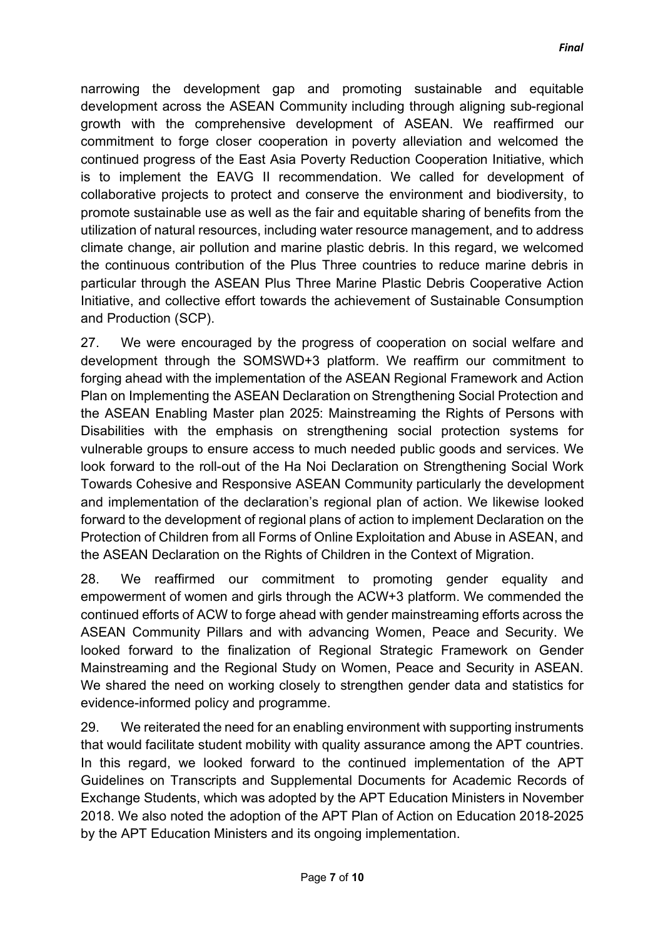narrowing the development gap and promoting sustainable and equitable development across the ASEAN Community including through aligning sub-regional growth with the comprehensive development of ASEAN. We reaffirmed our commitment to forge closer cooperation in poverty alleviation and welcomed the continued progress of the East Asia Poverty Reduction Cooperation Initiative, which is to implement the EAVG II recommendation. We called for development of collaborative projects to protect and conserve the environment and biodiversity, to promote sustainable use as well as the fair and equitable sharing of benefits from the utilization of natural resources, including water resource management, and to address climate change, air pollution and marine plastic debris. In this regard, we welcomed the continuous contribution of the Plus Three countries to reduce marine debris in particular through the ASEAN Plus Three Marine Plastic Debris Cooperative Action Initiative, and collective effort towards the achievement of Sustainable Consumption and Production (SCP).

27. We were encouraged by the progress of cooperation on social welfare and development through the SOMSWD+3 platform. We reaffirm our commitment to forging ahead with the implementation of the ASEAN Regional Framework and Action Plan on Implementing the ASEAN Declaration on Strengthening Social Protection and the ASEAN Enabling Master plan 2025: Mainstreaming the Rights of Persons with Disabilities with the emphasis on strengthening social protection systems for vulnerable groups to ensure access to much needed public goods and services. We look forward to the roll-out of the Ha Noi Declaration on Strengthening Social Work Towards Cohesive and Responsive ASEAN Community particularly the development and implementation of the declaration's regional plan of action. We likewise looked forward to the development of regional plans of action to implement Declaration on the Protection of Children from all Forms of Online Exploitation and Abuse in ASEAN, and the ASEAN Declaration on the Rights of Children in the Context of Migration.

28. We reaffirmed our commitment to promoting gender equality and empowerment of women and girls through the ACW+3 platform. We commended the continued efforts of ACW to forge ahead with gender mainstreaming efforts across the ASEAN Community Pillars and with advancing Women, Peace and Security. We looked forward to the finalization of Regional Strategic Framework on Gender Mainstreaming and the Regional Study on Women, Peace and Security in ASEAN. We shared the need on working closely to strengthen gender data and statistics for evidence-informed policy and programme.

29. We reiterated the need for an enabling environment with supporting instruments that would facilitate student mobility with quality assurance among the APT countries. In this regard, we looked forward to the continued implementation of the APT Guidelines on Transcripts and Supplemental Documents for Academic Records of Exchange Students, which was adopted by the APT Education Ministers in November 2018. We also noted the adoption of the APT Plan of Action on Education 2018-2025 by the APT Education Ministers and its ongoing implementation.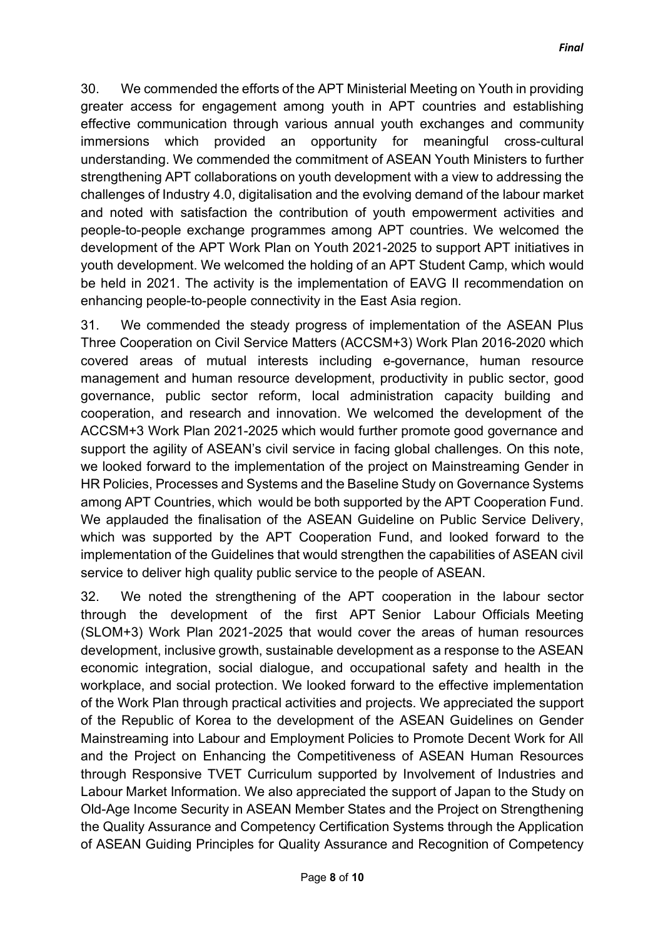30. We commended the efforts of the APT Ministerial Meeting on Youth in providing greater access for engagement among youth in APT countries and establishing effective communication through various annual youth exchanges and community immersions which provided an opportunity for meaningful cross-cultural understanding. We commended the commitment of ASEAN Youth Ministers to further strengthening APT collaborations on youth development with a view to addressing the challenges of Industry 4.0, digitalisation and the evolving demand of the labour market and noted with satisfaction the contribution of youth empowerment activities and people-to-people exchange programmes among APT countries. We welcomed the development of the APT Work Plan on Youth 2021-2025 to support APT initiatives in youth development. We welcomed the holding of an APT Student Camp, which would be held in 2021. The activity is the implementation of EAVG II recommendation on enhancing people-to-people connectivity in the East Asia region.

31. We commended the steady progress of implementation of the ASEAN Plus Three Cooperation on Civil Service Matters (ACCSM+3) Work Plan 2016-2020 which covered areas of mutual interests including e-governance, human resource management and human resource development, productivity in public sector, good governance, public sector reform, local administration capacity building and cooperation, and research and innovation. We welcomed the development of the ACCSM+3 Work Plan 2021-2025 which would further promote good governance and support the agility of ASEAN's civil service in facing global challenges. On this note, we looked forward to the implementation of the project on Mainstreaming Gender in HR Policies, Processes and Systems and the Baseline Study on Governance Systems among APT Countries, which would be both supported by the APT Cooperation Fund. We applauded the finalisation of the ASEAN Guideline on Public Service Delivery, which was supported by the APT Cooperation Fund, and looked forward to the implementation of the Guidelines that would strengthen the capabilities of ASEAN civil service to deliver high quality public service to the people of ASEAN.

32. We noted the strengthening of the APT cooperation in the labour sector through the development of the first APT Senior Labour Officials Meeting (SLOM+3) Work Plan 2021-2025 that would cover the areas of human resources development, inclusive growth, sustainable development as a response to the ASEAN economic integration, social dialogue, and occupational safety and health in the workplace, and social protection. We looked forward to the effective implementation of the Work Plan through practical activities and projects. We appreciated the support of the Republic of Korea to the development of the ASEAN Guidelines on Gender Mainstreaming into Labour and Employment Policies to Promote Decent Work for All and the Project on Enhancing the Competitiveness of ASEAN Human Resources through Responsive TVET Curriculum supported by Involvement of Industries and Labour Market Information. We also appreciated the support of Japan to the Study on Old-Age Income Security in ASEAN Member States and the Project on Strengthening the Quality Assurance and Competency Certification Systems through the Application of ASEAN Guiding Principles for Quality Assurance and Recognition of Competency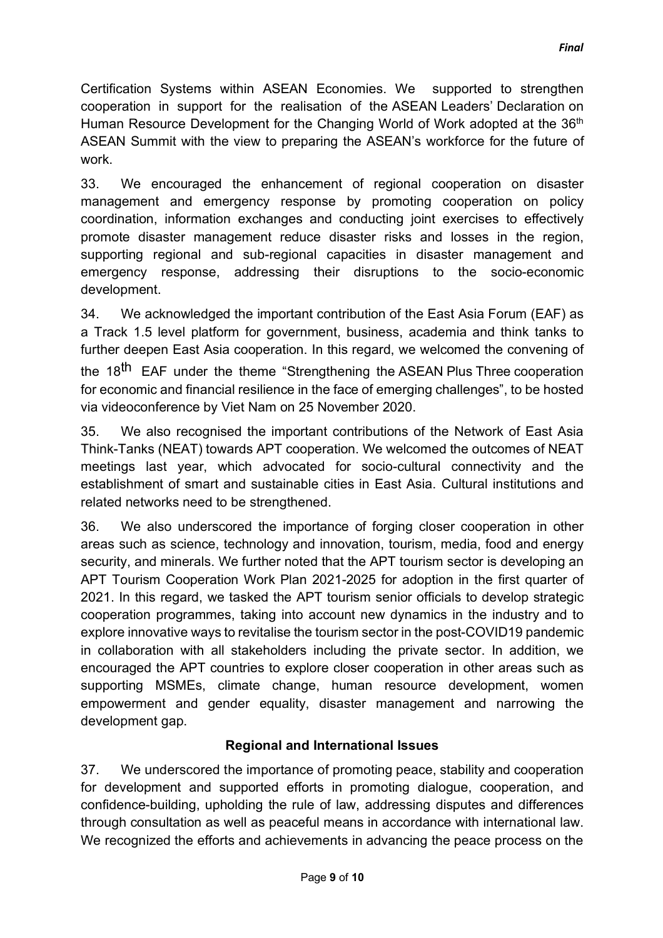Certification Systems within ASEAN Economies. We supported to strengthen cooperation in support for the realisation of the ASEAN Leaders' Declaration on Human Resource Development for the Changing World of Work adopted at the 36<sup>th</sup> ASEAN Summit with the view to preparing the ASEAN's workforce for the future of work.

33. We encouraged the enhancement of regional cooperation on disaster management and emergency response by promoting cooperation on policy coordination, information exchanges and conducting joint exercises to effectively promote disaster management reduce disaster risks and losses in the region, supporting regional and sub-regional capacities in disaster management and emergency response, addressing their disruptions to the socio-economic development.

34. We acknowledged the important contribution of the East Asia Forum (EAF) as a Track 1.5 level platform for government, business, academia and think tanks to further deepen East Asia cooperation. In this regard, we welcomed the convening of the 18<sup>th</sup> EAF under the theme "Strengthening the ASEAN Plus Three cooperation for economic and financial resilience in the face of emerging challenges", to be hosted via videoconference by Viet Nam on 25 November 2020.

35. We also recognised the important contributions of the Network of East Asia Think-Tanks (NEAT) towards APT cooperation. We welcomed the outcomes of NEAT meetings last year, which advocated for socio-cultural connectivity and the establishment of smart and sustainable cities in East Asia. Cultural institutions and related networks need to be strengthened.

36. We also underscored the importance of forging closer cooperation in other areas such as science, technology and innovation, tourism, media, food and energy security, and minerals. We further noted that the APT tourism sector is developing an APT Tourism Cooperation Work Plan 2021-2025 for adoption in the first quarter of 2021. In this regard, we tasked the APT tourism senior officials to develop strategic cooperation programmes, taking into account new dynamics in the industry and to explore innovative ways to revitalise the tourism sector in the post-COVID19 pandemic in collaboration with all stakeholders including the private sector. In addition, we encouraged the APT countries to explore closer cooperation in other areas such as supporting MSMEs, climate change, human resource development, women empowerment and gender equality, disaster management and narrowing the development gap.

## **Regional and International Issues**

37. We underscored the importance of promoting peace, stability and cooperation for development and supported efforts in promoting dialogue, cooperation, and confidence-building, upholding the rule of law, addressing disputes and differences through consultation as well as peaceful means in accordance with international law. We recognized the efforts and achievements in advancing the peace process on the